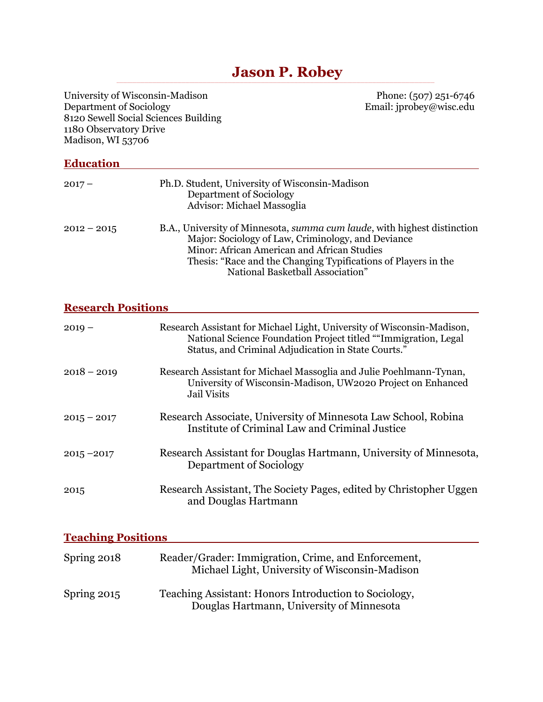# **Solution Section P. Robey**

| University of Wisconsin-Madison<br>Department of Sociology<br>1180 Observatory Drive<br>Madison, WI 53706 | Phone: (507) 251-6746<br>Email: jprobey@wisc.edu<br>8120 Sewell Social Sciences Building                                                                                                                                                                                                    |
|-----------------------------------------------------------------------------------------------------------|---------------------------------------------------------------------------------------------------------------------------------------------------------------------------------------------------------------------------------------------------------------------------------------------|
| <b>Education</b>                                                                                          |                                                                                                                                                                                                                                                                                             |
| $2017 -$                                                                                                  | Ph.D. Student, University of Wisconsin-Madison<br>Department of Sociology<br><b>Advisor: Michael Massoglia</b>                                                                                                                                                                              |
| $2012 - 2015$                                                                                             | B.A., University of Minnesota, <i>summa cum laude</i> , with highest distinction<br>Major: Sociology of Law, Criminology, and Deviance<br>Minor: African American and African Studies<br>Thesis: "Race and the Changing Typifications of Players in the<br>National Basketball Association" |
| <b>Research Positions</b>                                                                                 |                                                                                                                                                                                                                                                                                             |
| $2019 -$                                                                                                  | Research Assistant for Michael Light, University of Wisconsin-Madison,<br>National Science Foundation Project titled ""Immigration, Legal<br>Status, and Criminal Adjudication in State Courts."                                                                                            |
| $2018 - 2019$                                                                                             | Research Assistant for Michael Massoglia and Julie Poehlmann-Tynan,<br>University of Wisconsin-Madison, UW2020 Project on Enhanced<br><b>Jail Visits</b>                                                                                                                                    |
| $2015 - 2017$                                                                                             | Research Associate, University of Minnesota Law School, Robina<br>Institute of Criminal Law and Criminal Justice                                                                                                                                                                            |
| $2015 - 2017$                                                                                             | Research Assistant for Douglas Hartmann, University of Minnesota,<br>Department of Sociology                                                                                                                                                                                                |
| 2015                                                                                                      | Research Assistant, The Society Pages, edited by Christopher Uggen<br>and Douglas Hartmann                                                                                                                                                                                                  |
| <u>Teaching Positions</u>                                                                                 |                                                                                                                                                                                                                                                                                             |
| Spring 2018                                                                                               | Reader/Grader: Immigration, Crime, and Enforcement,<br>Michael Light, University of Wisconsin-Madison                                                                                                                                                                                       |
| Spring 2015                                                                                               | Teaching Assistant: Honors Introduction to Sociology,                                                                                                                                                                                                                                       |

Douglas Hartmann, University of Minnesota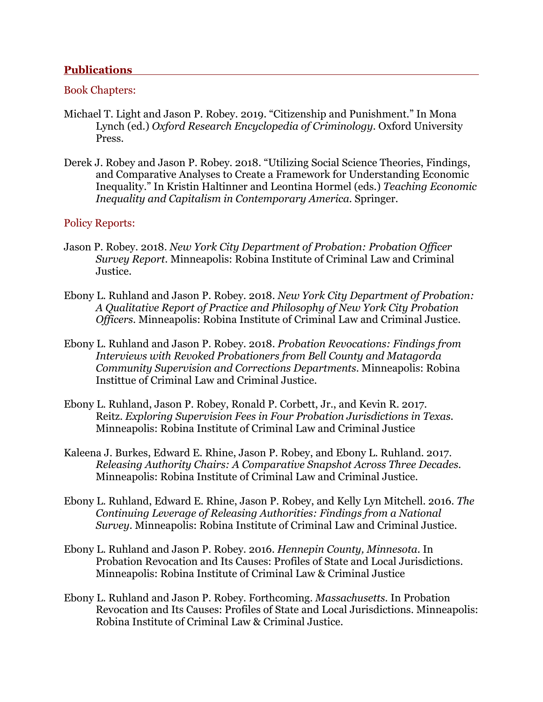#### **Publications**

#### Book Chapters:

- Michael T. Light and Jason P. Robey. 2019. "Citizenship and Punishment." In Mona Lynch (ed.) *Oxford Research Encyclopedia of Criminology.* Oxford University Press.
- Derek J. Robey and Jason P. Robey. 2018. "Utilizing Social Science Theories, Findings, and Comparative Analyses to Create a Framework for Understanding Economic Inequality." In Kristin Haltinner and Leontina Hormel (eds.) *Teaching Economic Inequality and Capitalism in Contemporary America*. Springer.

#### Policy Reports:

- Jason P. Robey. 2018. *New York City Department of Probation: Probation Officer Survey Report*. Minneapolis: Robina Institute of Criminal Law and Criminal Justice.
- Ebony L. Ruhland and Jason P. Robey. 2018. *New York City Department of Probation: A Qualitative Report of Practice and Philosophy of New York City Probation Officers*. Minneapolis: Robina Institute of Criminal Law and Criminal Justice.
- Ebony L. Ruhland and Jason P. Robey. 2018. *Probation Revocations: Findings from Interviews with Revoked Probationers from Bell County and Matagorda Community Supervision and Corrections Departments*. Minneapolis: Robina Instittue of Criminal Law and Criminal Justice.
- Ebony L. Ruhland, Jason P. Robey, Ronald P. Corbett, Jr., and Kevin R. 2017. Reitz. *Exploring Supervision Fees in Four Probation Jurisdictions in Texas.*  Minneapolis: Robina Institute of Criminal Law and Criminal Justice
- Kaleena J. Burkes, Edward E. Rhine, Jason P. Robey, and Ebony L. Ruhland. 2017. *Releasing Authority Chairs: A Comparative Snapshot Across Three Decades.*  Minneapolis: Robina Institute of Criminal Law and Criminal Justice.
- Ebony L. Ruhland, Edward E. Rhine, Jason P. Robey, and Kelly Lyn Mitchell. 2016. *The Continuing Leverage of Releasing Authorities: Findings from a National Survey*. Minneapolis: Robina Institute of Criminal Law and Criminal Justice.
- Ebony L. Ruhland and Jason P. Robey. 2016. *Hennepin County, Minnesota.* In Probation Revocation and Its Causes: Profiles of State and Local Jurisdictions. Minneapolis: Robina Institute of Criminal Law & Criminal Justice
- Ebony L. Ruhland and Jason P. Robey. Forthcoming. *Massachusetts.* In Probation Revocation and Its Causes: Profiles of State and Local Jurisdictions. Minneapolis: Robina Institute of Criminal Law & Criminal Justice.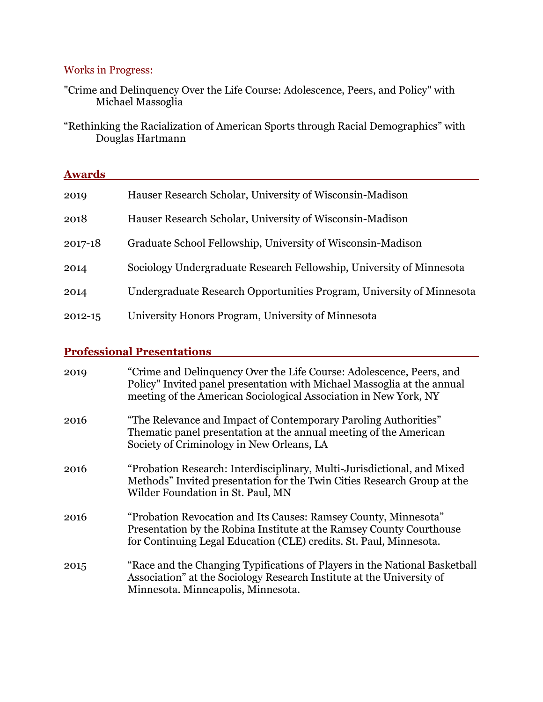### Works in Progress:

"Crime and Delinquency Over the Life Course: Adolescence, Peers, and Policy" with Michael Massoglia

"Rethinking the Racialization of American Sports through Racial Demographics" with Douglas Hartmann

| <b>Awards</b> |                                                                       |  |
|---------------|-----------------------------------------------------------------------|--|
| 2019          | Hauser Research Scholar, University of Wisconsin-Madison              |  |
| 2018          | Hauser Research Scholar, University of Wisconsin-Madison              |  |
| 2017-18       | Graduate School Fellowship, University of Wisconsin-Madison           |  |
| 2014          | Sociology Undergraduate Research Fellowship, University of Minnesota  |  |
| 2014          | Undergraduate Research Opportunities Program, University of Minnesota |  |
| $2012 - 15$   | University Honors Program, University of Minnesota                    |  |

# **Professional Presentations**

| 2019 | "Crime and Delinquency Over the Life Course: Adolescence, Peers, and<br>Policy" Invited panel presentation with Michael Massoglia at the annual<br>meeting of the American Sociological Association in New York, NY |
|------|---------------------------------------------------------------------------------------------------------------------------------------------------------------------------------------------------------------------|
| 2016 | "The Relevance and Impact of Contemporary Paroling Authorities"<br>The matic panel presentation at the annual meeting of the American<br>Society of Criminology in New Orleans, LA                                  |
| 2016 | "Probation Research: Interdisciplinary, Multi-Jurisdictional, and Mixed<br>Methods" Invited presentation for the Twin Cities Research Group at the<br>Wilder Foundation in St. Paul, MN                             |
| 2016 | "Probation Revocation and Its Causes: Ramsey County, Minnesota"<br>Presentation by the Robina Institute at the Ramsey County Courthouse<br>for Continuing Legal Education (CLE) credits. St. Paul, Minnesota.       |
| 2015 | "Race and the Changing Typifications of Players in the National Basketball<br>Association" at the Sociology Research Institute at the University of<br>Minnesota. Minneapolis, Minnesota.                           |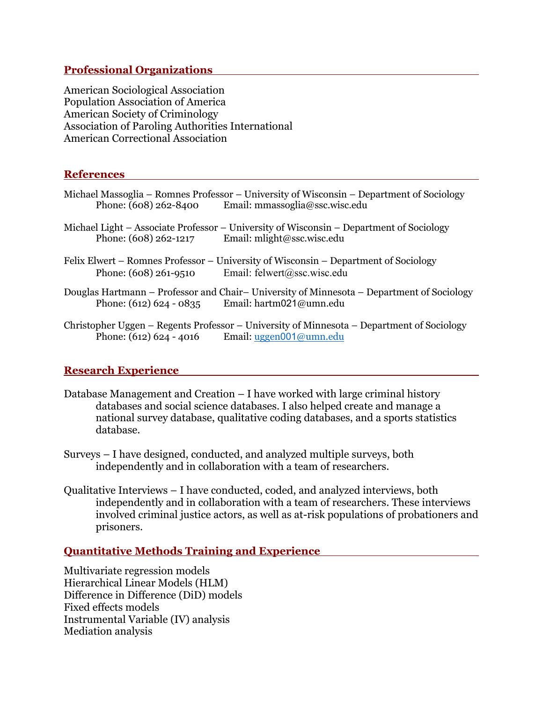#### **Professional Organizations**

American Sociological Association Population Association of America American Society of Criminology Association of Paroling Authorities International American Correctional Association

#### **References**

| Phone: (608) 262-8400     | Michael Massoglia – Romnes Professor – University of Wisconsin – Department of Sociology<br>Email: mmassoglia@ssc.wisc.edu |
|---------------------------|----------------------------------------------------------------------------------------------------------------------------|
| Phone: (608) 262-1217     | Michael Light – Associate Professor – University of Wisconsin – Department of Sociology<br>Email: mlight@ssc.wisc.edu      |
| Phone: (608) 261-9510     | Felix Elwert – Romnes Professor – University of Wisconsin – Department of Sociology<br>Email: felwert@ssc.wisc.edu         |
| Phone: $(612) 624 - 0835$ | Douglas Hartmann – Professor and Chair– University of Minnesota – Department of Sociology<br>Email: hartm021@umn.edu       |
|                           | Christopher Uggen – Regents Professor – University of Minnesota – Department of Sociology                                  |

## Phone: (612) 624 - 4016 Email: <u>uggen001@umn.edu</u>

#### **Research Experience**

- Database Management and Creation I have worked with large criminal history databases and social science databases. I also helped create and manage a national survey database, qualitative coding databases, and a sports statistics database.
- Surveys I have designed, conducted, and analyzed multiple surveys, both independently and in collaboration with a team of researchers.
- Qualitative Interviews I have conducted, coded, and analyzed interviews, both independently and in collaboration with a team of researchers. These interviews involved criminal justice actors, as well as at-risk populations of probationers and prisoners.

### **Quantitative Methods Training and Experience**

Multivariate regression models Hierarchical Linear Models (HLM) Difference in Difference (DiD) models Fixed effects models Instrumental Variable (IV) analysis Mediation analysis